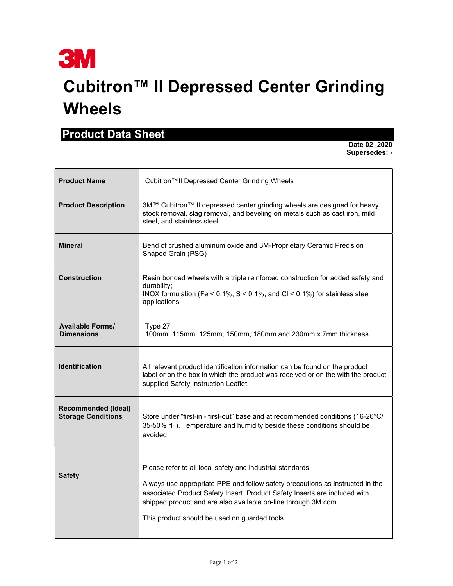

## Cubitron™ II Depressed Center Grinding Wheels

## Product Data Sheet

 Date 02\_2020 Supersedes: -

| <b>Product Name</b>                                     | Cubitron™II Depressed Center Grinding Wheels                                                                                                                                                                                                                                                                                                |
|---------------------------------------------------------|---------------------------------------------------------------------------------------------------------------------------------------------------------------------------------------------------------------------------------------------------------------------------------------------------------------------------------------------|
| <b>Product Description</b>                              | 3M™ Cubitron™ II depressed center grinding wheels are designed for heavy<br>stock removal, slag removal, and beveling on metals such as cast iron, mild<br>steel, and stainless steel                                                                                                                                                       |
| <b>Mineral</b>                                          | Bend of crushed aluminum oxide and 3M-Proprietary Ceramic Precision<br>Shaped Grain (PSG)                                                                                                                                                                                                                                                   |
| <b>Construction</b>                                     | Resin bonded wheels with a triple reinforced construction for added safety and<br>durability;<br>INOX formulation (Fe < $0.1\%$ , S < $0.1\%$ , and Cl < $0.1\%$ ) for stainless steel<br>applications                                                                                                                                      |
| <b>Available Forms/</b><br><b>Dimensions</b>            | Type 27<br>100mm, 115mm, 125mm, 150mm, 180mm and 230mm x 7mm thickness                                                                                                                                                                                                                                                                      |
| <b>Identification</b>                                   | All relevant product identification information can be found on the product<br>label or on the box in which the product was received or on the with the product<br>supplied Safety Instruction Leaflet.                                                                                                                                     |
| <b>Recommended (Ideal)</b><br><b>Storage Conditions</b> | Store under "first-in - first-out" base and at recommended conditions (16-26°C/<br>35-50% rH). Temperature and humidity beside these conditions should be<br>avoided.                                                                                                                                                                       |
| <b>Safety</b>                                           | Please refer to all local safety and industrial standards.<br>Always use appropriate PPE and follow safety precautions as instructed in the<br>associated Product Safety Insert. Product Safety Inserts are included with<br>shipped product and are also available on-line through 3M.com<br>This product should be used on quarded tools. |